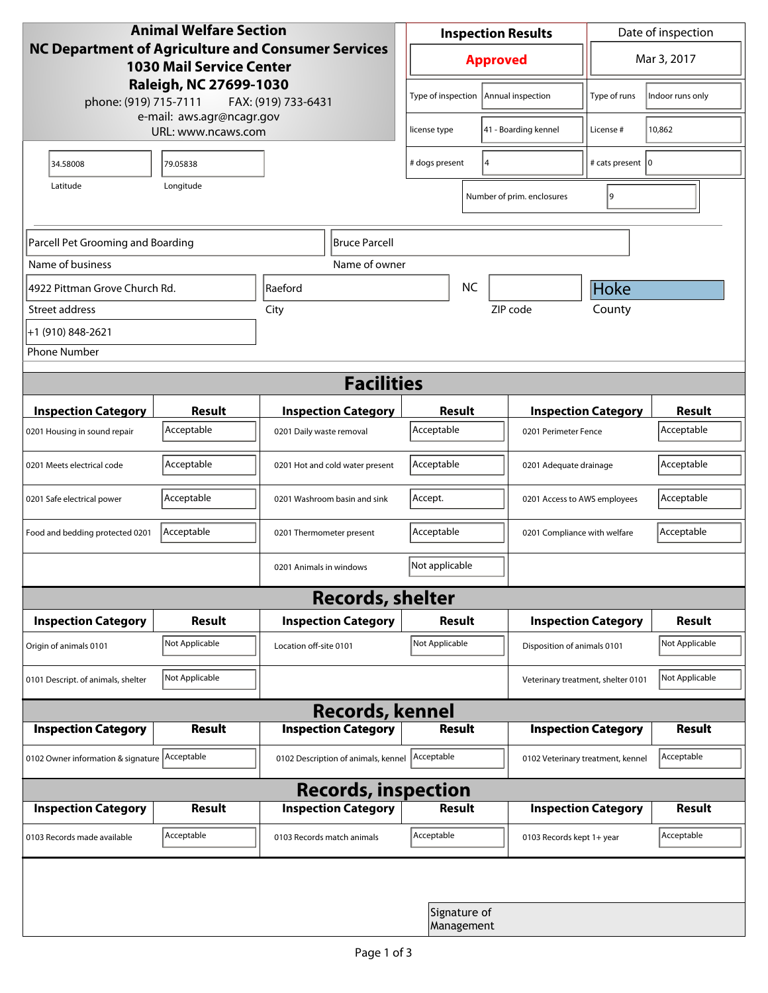| <b>Animal Welfare Section</b><br><b>NC Department of Agriculture and Consumer Services</b><br><b>1030 Mail Service Center</b><br>Raleigh, NC 27699-1030 |                                                 |                                     |                            | <b>Inspection Results</b>  |                            |                                    | Date of inspection                |                |  |  |
|---------------------------------------------------------------------------------------------------------------------------------------------------------|-------------------------------------------------|-------------------------------------|----------------------------|----------------------------|----------------------------|------------------------------------|-----------------------------------|----------------|--|--|
|                                                                                                                                                         |                                                 |                                     |                            | <b>Approved</b>            |                            |                                    | Mar 3, 2017                       |                |  |  |
| phone: (919) 715-7111                                                                                                                                   | FAX: (919) 733-6431                             |                                     | Type of inspection         |                            | Annual inspection          | Type of runs                       | Indoor runs only                  |                |  |  |
|                                                                                                                                                         | e-mail: aws.agr@ncagr.gov<br>URL: www.ncaws.com |                                     | license type               |                            | 41 - Boarding kennel       | License #                          | 10,862                            |                |  |  |
| 34.58008                                                                                                                                                | 79.05838                                        |                                     | 14<br># dogs present       |                            |                            | # cats present   0                 |                                   |                |  |  |
| Latitude                                                                                                                                                |                                                 |                                     |                            |                            | Number of prim. enclosures | 9                                  |                                   |                |  |  |
| <b>Bruce Parcell</b><br>Parcell Pet Grooming and Boarding                                                                                               |                                                 |                                     |                            |                            |                            |                                    |                                   |                |  |  |
| Name of business                                                                                                                                        | Name of owner                                   |                                     |                            |                            |                            |                                    |                                   |                |  |  |
| 4922 Pittman Grove Church Rd.                                                                                                                           | Raeford                                         |                                     |                            | <b>NC</b>                  |                            | Hoke                               |                                   |                |  |  |
| Street address                                                                                                                                          | City                                            |                                     |                            | ZIP code                   |                            |                                    | County                            |                |  |  |
| +1 (910) 848-2621                                                                                                                                       |                                                 |                                     |                            |                            |                            |                                    |                                   |                |  |  |
| <b>Phone Number</b>                                                                                                                                     |                                                 |                                     |                            |                            |                            |                                    |                                   |                |  |  |
| <b>Facilities</b>                                                                                                                                       |                                                 |                                     |                            |                            |                            |                                    |                                   |                |  |  |
| <b>Inspection Category</b>                                                                                                                              | <b>Result</b>                                   | <b>Inspection Category</b>          |                            | <b>Result</b>              |                            |                                    | <b>Inspection Category</b>        |                |  |  |
| 0201 Housing in sound repair                                                                                                                            | Acceptable                                      | 0201 Daily waste removal            |                            | Acceptable                 |                            |                                    | 0201 Perimeter Fence              |                |  |  |
| 0201 Meets electrical code                                                                                                                              | Acceptable                                      | 0201 Hot and cold water present     | Acceptable                 |                            |                            | 0201 Adequate drainage             |                                   |                |  |  |
| 0201 Safe electrical power                                                                                                                              | Acceptable                                      | 0201 Washroom basin and sink        |                            | Accept.                    |                            |                                    | 0201 Access to AWS employees      |                |  |  |
| Food and bedding protected 0201                                                                                                                         | Acceptable                                      | 0201 Thermometer present            |                            | Acceptable                 |                            |                                    | 0201 Compliance with welfare      |                |  |  |
|                                                                                                                                                         |                                                 | 0201 Animals in windows             |                            | Not applicable             |                            |                                    |                                   |                |  |  |
| <b>Records, shelter</b>                                                                                                                                 |                                                 |                                     |                            |                            |                            |                                    |                                   |                |  |  |
| <b>Inspection Category</b>                                                                                                                              | <b>Result</b>                                   |                                     | <b>Inspection Category</b> | Result                     |                            |                                    | <b>Inspection Category</b>        | <b>Result</b>  |  |  |
| Origin of animals 0101                                                                                                                                  | Not Applicable                                  | Location off-site 0101              |                            | Not Applicable             |                            |                                    | Disposition of animals 0101       |                |  |  |
| 0101 Descript. of animals, shelter                                                                                                                      | Not Applicable                                  |                                     |                            |                            |                            | Veterinary treatment, shelter 0101 |                                   | Not Applicable |  |  |
| <b>Records, kennel</b>                                                                                                                                  |                                                 |                                     |                            |                            |                            |                                    |                                   |                |  |  |
| <b>Inspection Category</b>                                                                                                                              | Result                                          |                                     | <b>Inspection Category</b> |                            | <b>Result</b>              |                                    | <b>Inspection Category</b>        | Result         |  |  |
| 0102 Owner information & signature Acceptable                                                                                                           |                                                 | 0102 Description of animals, kennel |                            | Acceptable                 |                            |                                    | 0102 Veterinary treatment, kennel |                |  |  |
| <b>Records, inspection</b>                                                                                                                              |                                                 |                                     |                            |                            |                            |                                    |                                   |                |  |  |
| <b>Inspection Category</b>                                                                                                                              | <b>Result</b>                                   |                                     | <b>Inspection Category</b> |                            | Result                     |                                    | <b>Inspection Category</b>        | <b>Result</b>  |  |  |
| 0103 Records made available                                                                                                                             | Acceptable                                      | 0103 Records match animals          |                            | Acceptable                 |                            | 0103 Records kept 1+ year          |                                   | Acceptable     |  |  |
|                                                                                                                                                         |                                                 |                                     |                            |                            |                            |                                    |                                   |                |  |  |
|                                                                                                                                                         |                                                 |                                     |                            | Signature of<br>Management |                            |                                    |                                   |                |  |  |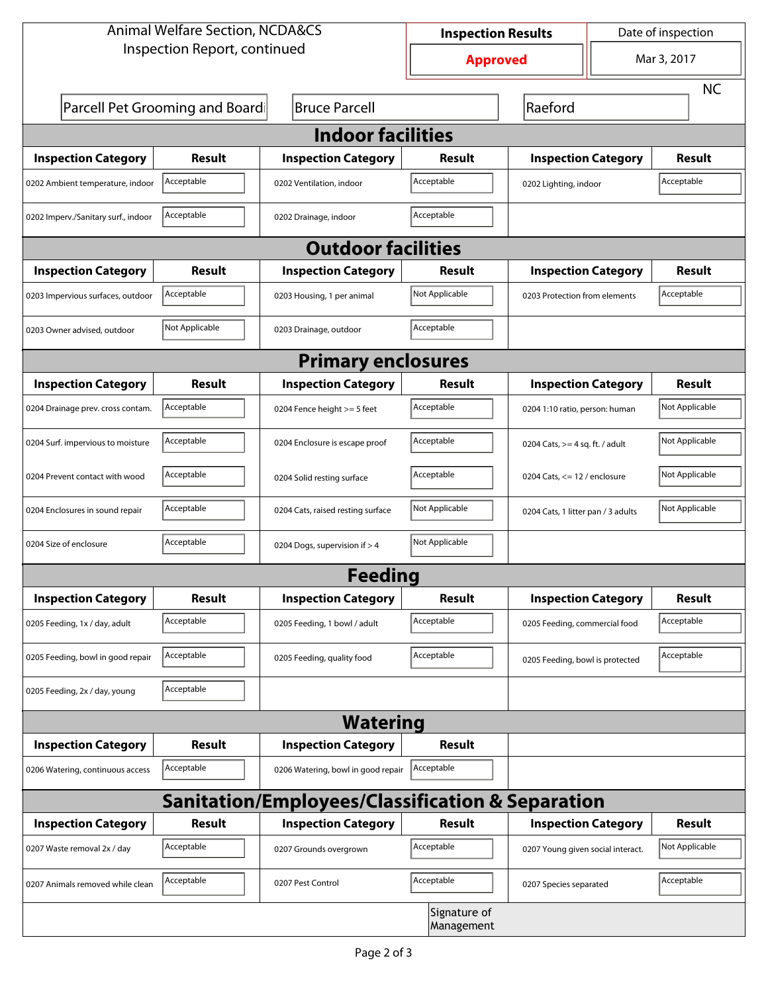| <b>Animal Welfare Section, NCDA&amp;CS</b>                  |                                 |                                    | <b>Inspection Results</b> |                                    | Date of inspection |                |  |  |  |
|-------------------------------------------------------------|---------------------------------|------------------------------------|---------------------------|------------------------------------|--------------------|----------------|--|--|--|
| Inspection Report, continued                                |                                 |                                    | <b>Approved</b>           |                                    | Mar 3, 2017        |                |  |  |  |
|                                                             |                                 |                                    |                           |                                    |                    | <b>NC</b>      |  |  |  |
|                                                             | Parcell Pet Grooming and Boardi | <b>Bruce Parcell</b>               |                           | Raeford                            |                    |                |  |  |  |
| <b>Indoor facilities</b>                                    |                                 |                                    |                           |                                    |                    |                |  |  |  |
| <b>Inspection Category</b>                                  | Result                          | <b>Inspection Category</b>         | Result                    | <b>Inspection Category</b>         |                    | Result         |  |  |  |
| 0202 Ambient temperature, indoor                            | Acceptable                      | 0202 Ventilation, indoor           | Acceptable                | 0202 Lighting, indoor              |                    | Acceptable     |  |  |  |
| 0202 Imperv./Sanitary surf., indoor                         | Acceptable                      | 0202 Drainage, indoor              | Acceptable                |                                    |                    |                |  |  |  |
| <b>Outdoor facilities</b>                                   |                                 |                                    |                           |                                    |                    |                |  |  |  |
| <b>Inspection Category</b>                                  | Result                          | <b>Inspection Category</b>         | Result                    | <b>Inspection Category</b>         |                    | Result         |  |  |  |
| 0203 Impervious surfaces, outdoor                           | Acceptable                      | 0203 Housing, 1 per animal         | Not Applicable            | 0203 Protection from elements      |                    | Acceptable     |  |  |  |
| 0203 Owner advised, outdoor                                 | Not Applicable                  | 0203 Drainage, outdoor             | Acceptable                |                                    |                    |                |  |  |  |
| <b>Primary enclosures</b>                                   |                                 |                                    |                           |                                    |                    |                |  |  |  |
| <b>Inspection Category</b>                                  | Result                          | <b>Inspection Category</b>         | Result                    | <b>Inspection Category</b>         |                    | Result         |  |  |  |
| 0204 Drainage prev. cross contam.                           | Acceptable                      | 0204 Fence height >= 5 feet        | Acceptable                | 0204 1:10 ratio, person: human     |                    | Not Applicable |  |  |  |
| 0204 Surf. impervious to moisture                           | Acceptable                      | 0204 Enclosure is escape proof     | Acceptable                | 0204 Cats, $>=$ 4 sq. ft. / adult  |                    | Not Applicable |  |  |  |
| 0204 Prevent contact with wood                              | Acceptable                      | 0204 Solid resting surface         | Acceptable                | 0204 Cats, $<= 12$ / enclosure     |                    | Not Applicable |  |  |  |
| 0204 Enclosures in sound repair                             | Acceptable                      | 0204 Cats, raised resting surface  | Not Applicable            | 0204 Cats, 1 litter pan / 3 adults |                    | Not Applicable |  |  |  |
| 0204 Size of enclosure                                      | Acceptable                      | 0204 Dogs, supervision if > 4      | Not Applicable            |                                    |                    |                |  |  |  |
|                                                             |                                 | <b>Feeding</b>                     |                           |                                    |                    |                |  |  |  |
| <b>Inspection Category</b>                                  | <b>Result</b>                   | <b>Inspection Category</b>         | <b>Result</b>             | <b>Inspection Category</b>         |                    | <b>Result</b>  |  |  |  |
| 0205 Feeding, 1x / day, adult                               | Acceptable                      | 0205 Feeding, 1 bowl / adult       | Acceptable                | 0205 Feeding, commercial food      |                    | Acceptable     |  |  |  |
| 0205 Feeding, bowl in good repair                           | Acceptable                      | 0205 Feeding, quality food         | Acceptable                | 0205 Feeding, bowl is protected    |                    | Acceptable     |  |  |  |
| 0205 Feeding, 2x / day, young                               | Acceptable                      |                                    |                           |                                    |                    |                |  |  |  |
| <b>Watering</b>                                             |                                 |                                    |                           |                                    |                    |                |  |  |  |
| <b>Inspection Category</b>                                  | <b>Result</b>                   | <b>Inspection Category</b>         | <b>Result</b>             |                                    |                    |                |  |  |  |
| 0206 Watering, continuous access                            | Acceptable                      | 0206 Watering, bowl in good repair | Acceptable                |                                    |                    |                |  |  |  |
| <b>Sanitation/Employees/Classification &amp; Separation</b> |                                 |                                    |                           |                                    |                    |                |  |  |  |
| <b>Inspection Category</b>                                  | <b>Result</b>                   | <b>Inspection Category</b>         | Result                    | <b>Inspection Category</b>         |                    | <b>Result</b>  |  |  |  |
| 0207 Waste removal 2x / day                                 | Acceptable                      | 0207 Grounds overgrown             | Acceptable                | 0207 Young given social interact.  |                    | Not Applicable |  |  |  |
| 0207 Animals removed while clean                            | Acceptable                      | 0207 Pest Control                  | Acceptable                | 0207 Species separated             |                    | Acceptable     |  |  |  |
| Signature of<br>Management                                  |                                 |                                    |                           |                                    |                    |                |  |  |  |